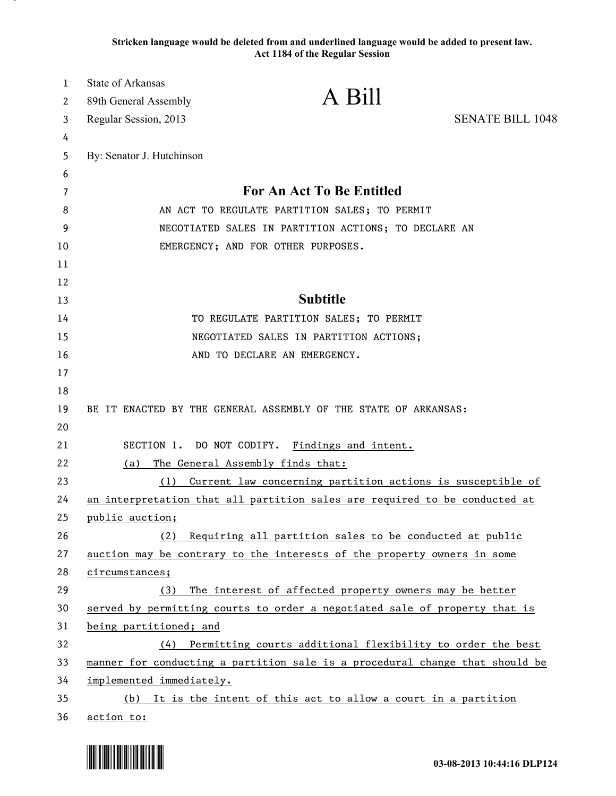**Stricken language would be deleted from and underlined language would be added to present law. Act 1184 of the Regular Session**

| 1      | <b>State of Arkansas</b>                                        | A Bill                                                                                                |                         |  |
|--------|-----------------------------------------------------------------|-------------------------------------------------------------------------------------------------------|-------------------------|--|
| 2      | 89th General Assembly                                           |                                                                                                       |                         |  |
| 3      | Regular Session, 2013                                           |                                                                                                       | <b>SENATE BILL 1048</b> |  |
| 4      |                                                                 |                                                                                                       |                         |  |
| 5      | By: Senator J. Hutchinson                                       |                                                                                                       |                         |  |
| 6      |                                                                 | For An Act To Be Entitled                                                                             |                         |  |
| 7<br>8 |                                                                 |                                                                                                       |                         |  |
| 9      |                                                                 | AN ACT TO REGULATE PARTITION SALES; TO PERMIT<br>NEGOTIATED SALES IN PARTITION ACTIONS; TO DECLARE AN |                         |  |
| 10     |                                                                 | EMERGENCY; AND FOR OTHER PURPOSES.                                                                    |                         |  |
| 11     |                                                                 |                                                                                                       |                         |  |
| 12     |                                                                 |                                                                                                       |                         |  |
| 13     |                                                                 | <b>Subtitle</b>                                                                                       |                         |  |
| 14     |                                                                 | TO REGULATE PARTITION SALES; TO PERMIT                                                                |                         |  |
| 15     |                                                                 | NEGOTIATED SALES IN PARTITION ACTIONS;                                                                |                         |  |
| 16     |                                                                 | AND TO DECLARE AN EMERGENCY.                                                                          |                         |  |
| 17     |                                                                 |                                                                                                       |                         |  |
| 18     |                                                                 |                                                                                                       |                         |  |
| 19     | BE IT ENACTED BY THE GENERAL ASSEMBLY OF THE STATE OF ARKANSAS: |                                                                                                       |                         |  |
| 20     |                                                                 |                                                                                                       |                         |  |
| 21     | SECTION 1. DO NOT CODIFY.                                       | <u>Findings and intent.</u>                                                                           |                         |  |
| 22     | (a)                                                             | The General Assembly finds that:                                                                      |                         |  |
| 23     | (1)                                                             | Current law concerning partition actions is susceptible of                                            |                         |  |
| 24     |                                                                 | an interpretation that all partition sales are required to be conducted at                            |                         |  |
| 25     | public auction;                                                 |                                                                                                       |                         |  |
| 26     | (2)                                                             | Requiring all partition sales to be conducted at public                                               |                         |  |
| 27     |                                                                 | auction may be contrary to the interests of the property owners in some                               |                         |  |
| 28     | circumstances;                                                  |                                                                                                       |                         |  |
| 29     | (3)                                                             | The interest of affected property owners may be better                                                |                         |  |
| 30     |                                                                 | served by permitting courts to order a negotiated sale of property that is                            |                         |  |
| 31     | being partitioned; and                                          |                                                                                                       |                         |  |
| 32     |                                                                 | (4) Permitting courts additional flexibility to order the best                                        |                         |  |
| 33     |                                                                 | manner for conducting a partition sale is a procedural change that should be                          |                         |  |
| 34     | implemented immediately.                                        |                                                                                                       |                         |  |
| 35     |                                                                 | (b) It is the intent of this act to allow a court in a partition                                      |                         |  |
| 36     | action to:                                                      |                                                                                                       |                         |  |

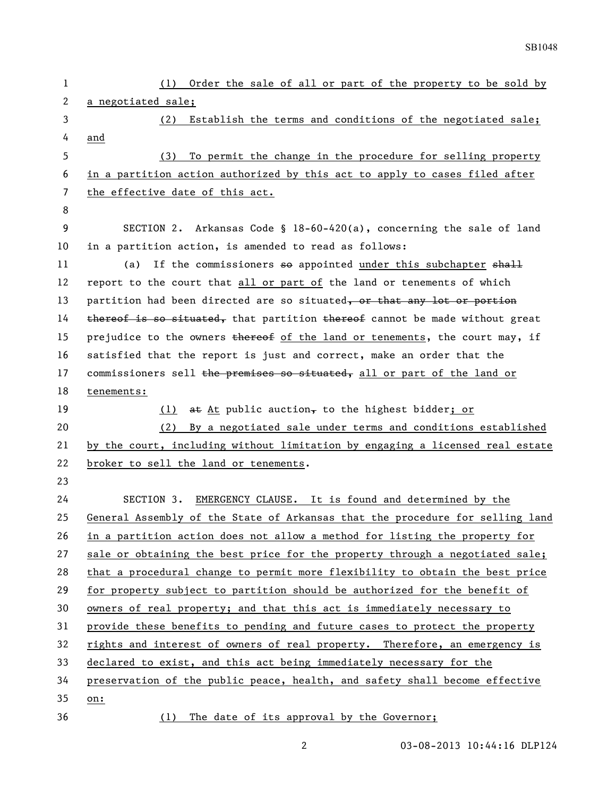| 1  | (1) Order the sale of all or part of the property to be sold by               |
|----|-------------------------------------------------------------------------------|
| 2  | a negotiated sale;                                                            |
| 3  | Establish the terms and conditions of the negotiated sale;<br>(2)             |
| 4  | and                                                                           |
| 5  | To permit the change in the procedure for selling property<br>(3)             |
| 6  | in a partition action authorized by this act to apply to cases filed after    |
| 7  | the effective date of this act.                                               |
| 8  |                                                                               |
| 9  | SECTION 2. Arkansas Code § 18-60-420(a), concerning the sale of land          |
| 10 | in a partition action, is amended to read as follows:                         |
| 11 | If the commissioners so appointed under this subchapter shall<br>(a)          |
| 12 | report to the court that all or part of the land or tenements of which        |
| 13 | partition had been directed are so situated, or that any lot or portion       |
| 14 | thereof is so situated, that partition thereof cannot be made without great   |
| 15 | prejudice to the owners thereof of the land or tenements, the court may, if   |
| 16 | satisfied that the report is just and correct, make an order that the         |
| 17 | commissioners sell the premises so situated, all or part of the land or       |
| 18 | tenements:                                                                    |
| 19 | at At public auction, to the highest bidder; or<br>(1)                        |
| 20 | By a negotiated sale under terms and conditions established<br>(2)            |
| 21 | by the court, including without limitation by engaging a licensed real estate |
| 22 | broker to sell the land or tenements.                                         |
| 23 |                                                                               |
| 24 | EMERGENCY CLAUSE. It is found and determined by the<br>SECTION 3.             |
| 25 | General Assembly of the State of Arkansas that the procedure for selling land |
| 26 | in a partition action does not allow a method for listing the property for    |
| 27 | sale or obtaining the best price for the property through a negotiated sale;  |
| 28 | that a procedural change to permit more flexibility to obtain the best price  |
| 29 | for property subject to partition should be authorized for the benefit of     |
| 30 | owners of real property; and that this act is immediately necessary to        |
| 31 | provide these benefits to pending and future cases to protect the property    |
| 32 | rights and interest of owners of real property. Therefore, an emergency is    |
| 33 | declared to exist, and this act being immediately necessary for the           |
| 34 | preservation of the public peace, health, and safety shall become effective   |
| 35 |                                                                               |
|    | on:                                                                           |

2 03-08-2013 10:44:16 DLP124